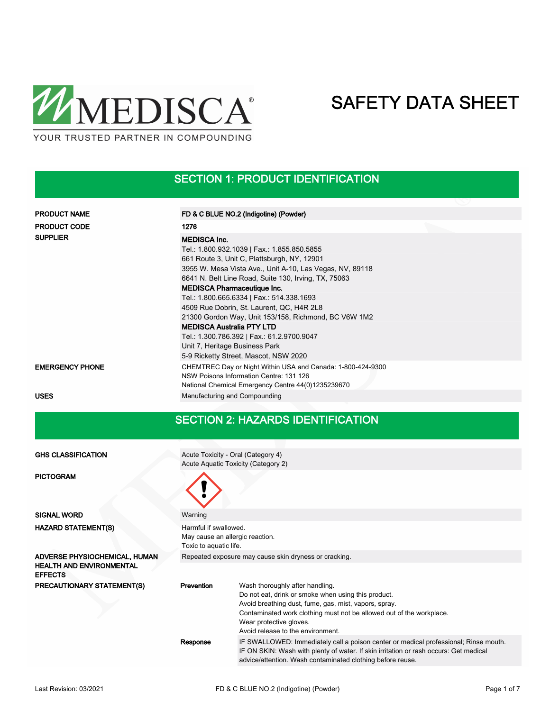

#### SECTION 1: PRODUCT IDENTIFICATION

| <b>PRODUCT NAME</b>    | FD & C BLUE NO.2 (Indigotine) (Powder)                                                                                                                       |
|------------------------|--------------------------------------------------------------------------------------------------------------------------------------------------------------|
| <b>PRODUCT CODE</b>    | 1276                                                                                                                                                         |
| <b>SUPPLIER</b>        | <b>MEDISCA Inc.</b>                                                                                                                                          |
|                        | Tel.: 1.800.932.1039   Fax.: 1.855.850.5855                                                                                                                  |
|                        | 661 Route 3, Unit C, Plattsburgh, NY, 12901                                                                                                                  |
|                        | 3955 W. Mesa Vista Ave., Unit A-10, Las Vegas, NV, 89118                                                                                                     |
|                        | 6641 N. Belt Line Road, Suite 130, Irving, TX, 75063                                                                                                         |
|                        | <b>MEDISCA Pharmaceutique Inc.</b>                                                                                                                           |
|                        | Tel.: 1.800.665.6334   Fax.: 514.338.1693                                                                                                                    |
|                        | 4509 Rue Dobrin, St. Laurent, QC, H4R 2L8                                                                                                                    |
|                        | 21300 Gordon Way, Unit 153/158, Richmond, BC V6W 1M2                                                                                                         |
|                        | <b>MEDISCA Australia PTY LTD</b>                                                                                                                             |
|                        | Tel.: 1.300.786.392   Fax.: 61.2.9700.9047                                                                                                                   |
|                        | Unit 7, Heritage Business Park                                                                                                                               |
|                        | 5-9 Ricketty Street, Mascot, NSW 2020                                                                                                                        |
| <b>EMERGENCY PHONE</b> | CHEMTREC Day or Night Within USA and Canada: 1-800-424-9300<br>NSW Poisons Information Centre: 131 126<br>National Chemical Emergency Centre 44(0)1235239670 |
| <b>USES</b>            | Manufacturing and Compounding                                                                                                                                |

### SECTION 2: HAZARDS IDENTIFICATION

| <b>GHS CLASSIFICATION</b>                         |                                                                                    | Acute Toxicity - Oral (Category 4)                                                                                                                                                                                                          |  |  |
|---------------------------------------------------|------------------------------------------------------------------------------------|---------------------------------------------------------------------------------------------------------------------------------------------------------------------------------------------------------------------------------------------|--|--|
|                                                   |                                                                                    | Acute Aquatic Toxicity (Category 2)                                                                                                                                                                                                         |  |  |
| <b>PICTOGRAM</b>                                  |                                                                                    |                                                                                                                                                                                                                                             |  |  |
| <b>SIGNAL WORD</b>                                | Warning                                                                            |                                                                                                                                                                                                                                             |  |  |
| <b>HAZARD STATEMENT(S)</b>                        | Harmful if swallowed.<br>May cause an allergic reaction.<br>Toxic to aquatic life. |                                                                                                                                                                                                                                             |  |  |
| ADVERSE PHYSIOCHEMICAL, HUMAN                     | Repeated exposure may cause skin dryness or cracking.                              |                                                                                                                                                                                                                                             |  |  |
| <b>HEALTH AND ENVIRONMENTAL</b><br><b>EFFECTS</b> |                                                                                    |                                                                                                                                                                                                                                             |  |  |
| <b>PRECAUTIONARY STATEMENT(S)</b>                 | Prevention                                                                         | Wash thoroughly after handling.                                                                                                                                                                                                             |  |  |
|                                                   |                                                                                    | Do not eat, drink or smoke when using this product.                                                                                                                                                                                         |  |  |
|                                                   |                                                                                    | Avoid breathing dust, fume, gas, mist, vapors, spray.                                                                                                                                                                                       |  |  |
|                                                   |                                                                                    | Contaminated work clothing must not be allowed out of the workplace.                                                                                                                                                                        |  |  |
|                                                   |                                                                                    | Wear protective gloves.                                                                                                                                                                                                                     |  |  |
|                                                   |                                                                                    | Avoid release to the environment.                                                                                                                                                                                                           |  |  |
|                                                   | Response                                                                           | IF SWALLOWED: Immediately call a poison center or medical professional; Rinse mouth.<br>IF ON SKIN: Wash with plenty of water. If skin irritation or rash occurs: Get medical<br>advice/attention. Wash contaminated clothing before reuse. |  |  |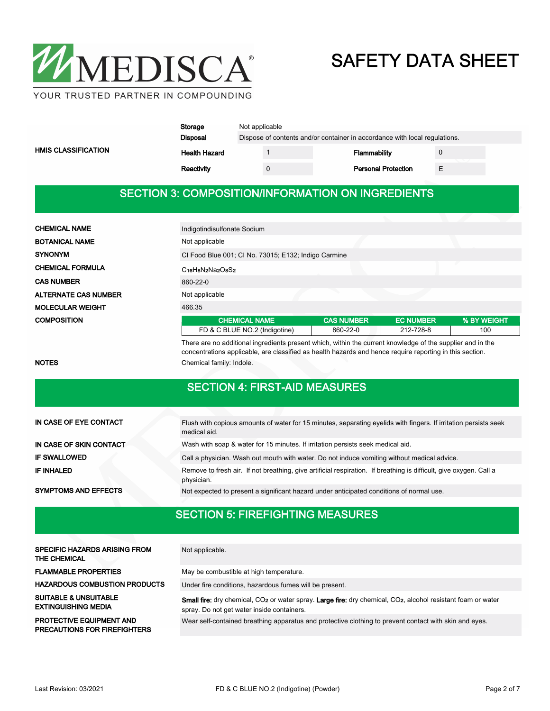

|                            | Storage              | Not applicable                                                             |  |              |                            |  |  |
|----------------------------|----------------------|----------------------------------------------------------------------------|--|--------------|----------------------------|--|--|
| <b>HMIS CLASSIFICATION</b> | Disposal             | Dispose of contents and/or container in accordance with local regulations. |  |              |                            |  |  |
|                            | <b>Health Hazard</b> |                                                                            |  | Flammability |                            |  |  |
|                            | Reactivity           |                                                                            |  |              | <b>Personal Protection</b> |  |  |

#### SECTION 3: COMPOSITION/INFORMATION ON INGREDIENTS

| <b>CHEMICAL NAME</b>        | Indigotindisulfonate Sodium                                                                 |                   |                  |             |  |
|-----------------------------|---------------------------------------------------------------------------------------------|-------------------|------------------|-------------|--|
| <b>BOTANICAL NAME</b>       | Not applicable                                                                              |                   |                  |             |  |
| <b>SYNONYM</b>              | CI Food Blue 001; CI No. 73015; E132; Indigo Carmine                                        |                   |                  |             |  |
| <b>CHEMICAL FORMULA</b>     | C <sub>16</sub> H <sub>8</sub> N <sub>2</sub> Na <sub>2</sub> O <sub>8</sub> S <sub>2</sub> |                   |                  |             |  |
| <b>CAS NUMBER</b>           | 860-22-0                                                                                    |                   |                  |             |  |
| <b>ALTERNATE CAS NUMBER</b> | Not applicable                                                                              |                   |                  |             |  |
| <b>MOLECULAR WEIGHT</b>     | 466.35                                                                                      |                   |                  |             |  |
| <b>COMPOSITION</b>          | <b>CHEMICAL NAME</b>                                                                        | <b>CAS NUMBER</b> | <b>EC NUMBER</b> | % BY WEIGHT |  |
|                             | FD & C BLUE NO.2 (Indigotine)                                                               | 860-22-0          | 212-728-8        | 100         |  |

There are no additional ingredients present which, within the current knowledge of the supplier and in the concentrations applicable, are classified as health hazards and hence require reporting in this section. NOTES Chemical family: Indole.

#### SECTION 4: FIRST-AID MEASURES

| IN CASE OF EYE CONTACT      | Flush with copious amounts of water for 15 minutes, separating evelids with fingers. If irritation persists seek<br>medical aid. |
|-----------------------------|----------------------------------------------------------------------------------------------------------------------------------|
| IN CASE OF SKIN CONTACT     | Wash with soap & water for 15 minutes. If irritation persists seek medical aid.                                                  |
| <b>IF SWALLOWED</b>         | Call a physician. Wash out mouth with water. Do not induce vomiting without medical advice.                                      |
| IF INHALED                  | Remove to fresh air. If not breathing, give artificial respiration. If breathing is difficult, give oxygen. Call a<br>physician. |
| <b>SYMPTOMS AND EFFECTS</b> | Not expected to present a significant hazard under anticipated conditions of normal use.                                         |

### SECTION 5: FIREFIGHTING MEASURES

| <b>SPECIFIC HAZARDS ARISING FROM</b><br>THE CHEMICAL                   | Not applicable.                                                                                                                                                                     |
|------------------------------------------------------------------------|-------------------------------------------------------------------------------------------------------------------------------------------------------------------------------------|
| <b>FLAMMABLE PROPERTIES</b>                                            | May be combustible at high temperature.                                                                                                                                             |
| <b>HAZARDOUS COMBUSTION PRODUCTS</b>                                   | Under fire conditions, hazardous fumes will be present.                                                                                                                             |
| <b>SUITABLE &amp; UNSUITABLE</b><br><b>EXTINGUISHING MEDIA</b>         | Small fire: dry chemical, CO <sub>2</sub> or water spray. Large fire: dry chemical, CO <sub>2</sub> , alcohol resistant foam or water<br>spray. Do not get water inside containers. |
| <b>PROTECTIVE EQUIPMENT AND</b><br><b>PRECAUTIONS FOR FIREFIGHTERS</b> | Wear self-contained breathing apparatus and protective clothing to prevent contact with skin and eyes.                                                                              |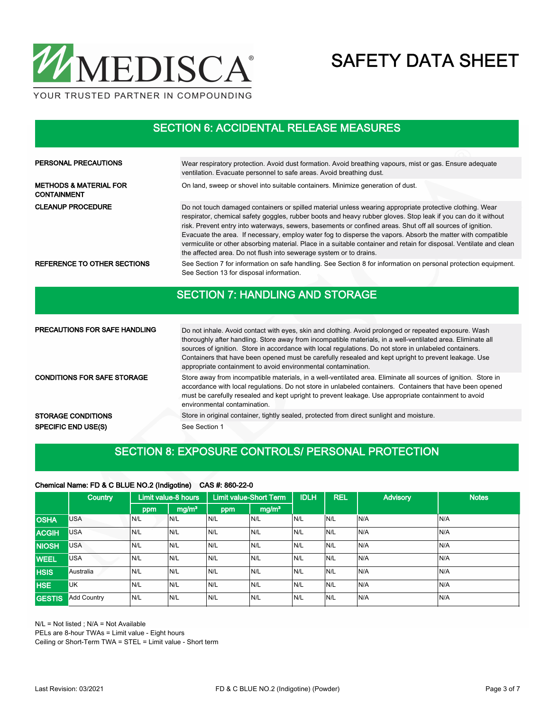

SECTION 6: ACCIDENTAL RELEASE MEASURES

| <b>PERSONAL PRECAUTIONS</b>                             | Wear respiratory protection. Avoid dust formation. Avoid breathing vapours, mist or gas. Ensure adequate<br>ventilation. Evacuate personnel to safe areas. Avoid breathing dust.                                                                                                                                                                                                                                                                                                                                                                                                                                                                    |
|---------------------------------------------------------|-----------------------------------------------------------------------------------------------------------------------------------------------------------------------------------------------------------------------------------------------------------------------------------------------------------------------------------------------------------------------------------------------------------------------------------------------------------------------------------------------------------------------------------------------------------------------------------------------------------------------------------------------------|
| <b>METHODS &amp; MATERIAL FOR</b><br><b>CONTAINMENT</b> | On land, sweep or shovel into suitable containers. Minimize generation of dust.                                                                                                                                                                                                                                                                                                                                                                                                                                                                                                                                                                     |
| <b>CLEANUP PROCEDURE</b>                                | Do not touch damaged containers or spilled material unless wearing appropriate protective clothing. Wear<br>respirator, chemical safety goggles, rubber boots and heavy rubber gloves. Stop leak if you can do it without<br>risk. Prevent entry into waterways, sewers, basements or confined areas. Shut off all sources of ignition.<br>Evacuate the area. If necessary, employ water fog to disperse the vapors. Absorb the matter with compatible<br>vermiculite or other absorbing material. Place in a suitable container and retain for disposal. Ventilate and clean<br>the affected area. Do not flush into sewerage system or to drains. |
| REFERENCE TO OTHER SECTIONS                             | See Section 7 for information on safe handling. See Section 8 for information on personal protection equipment.<br>See Section 13 for disposal information.                                                                                                                                                                                                                                                                                                                                                                                                                                                                                         |

### SECTION 7: HANDLING AND STORAGE

| <b>PRECAUTIONS FOR SAFE HANDLING</b> | Do not inhale. Avoid contact with eyes, skin and clothing. Avoid prolonged or repeated exposure. Wash<br>thoroughly after handling. Store away from incompatible materials, in a well-ventilated area. Eliminate all<br>sources of ignition. Store in accordance with local regulations. Do not store in unlabeled containers.<br>Containers that have been opened must be carefully resealed and kept upright to prevent leakage. Use<br>appropriate containment to avoid environmental contamination. |
|--------------------------------------|---------------------------------------------------------------------------------------------------------------------------------------------------------------------------------------------------------------------------------------------------------------------------------------------------------------------------------------------------------------------------------------------------------------------------------------------------------------------------------------------------------|
| <b>CONDITIONS FOR SAFE STORAGE</b>   | Store away from incompatible materials, in a well-ventilated area. Eliminate all sources of ignition. Store in<br>accordance with local regulations. Do not store in unlabeled containers. Containers that have been opened<br>must be carefully resealed and kept upright to prevent leakage. Use appropriate containment to avoid<br>environmental contamination.                                                                                                                                     |
| <b>STORAGE CONDITIONS</b>            | Store in original container, tightly sealed, protected from direct sunlight and moisture.                                                                                                                                                                                                                                                                                                                                                                                                               |
| <b>SPECIFIC END USE(S)</b>           | See Section 1                                                                                                                                                                                                                                                                                                                                                                                                                                                                                           |

### SECTION 8: EXPOSURE CONTROLS/ PERSONAL PROTECTION

#### Chemical Name: FD & C BLUE NO.2 (Indigotine) CAS #: 860-22-0

|               | <b>Country</b>     |      | Limit value-8 hours |     | <b>Limit value-Short Term</b> | <b>IDLH</b> | <b>REL</b> | <b>Advisory</b> | <b>Notes</b> |
|---------------|--------------------|------|---------------------|-----|-------------------------------|-------------|------------|-----------------|--------------|
|               |                    | ppm  | mg/m <sup>3</sup>   | ppm | mg/m <sup>3</sup>             |             |            |                 |              |
| <b>OSHA</b>   | <b>USA</b>         | IN/L | N/L                 | N/L | N/L                           | IN/L        | N/L        | N/A             | IN/A         |
| <b>ACGIH</b>  | <b>USA</b>         | N/L  | N/L                 | N/L | N/L                           | N/L         | N/L        | N/A             | IN/A         |
| <b>NIOSH</b>  | <b>USA</b>         | N/L  | N/L                 | N/L | N/L                           | N/L         | N/L        | N/A             | N/A          |
| <b>WEEL</b>   | USA                | N/L  | N/L                 | N/L | N/L                           | N/L         | N/L        | N/A             | N/A          |
| <b>HSIS</b>   | Australia          | N/L  | N/L                 | N/L | N/L                           | IN/L        | N/L        | N/A             | IN/A         |
| <b>HSE</b>    | UK                 | N/L  | N/L                 | N/L | N/L                           | N/L         | N/L        | N/A             | N/A          |
| <b>GESTIS</b> | <b>Add Country</b> | N/L  | N/L                 | N/L | N/L                           | N/L         | N/L        | N/A             | IN/A         |

N/L = Not listed ; N/A = Not Available

PELs are 8-hour TWAs = Limit value - Eight hours

Ceiling or Short-Term TWA = STEL = Limit value - Short term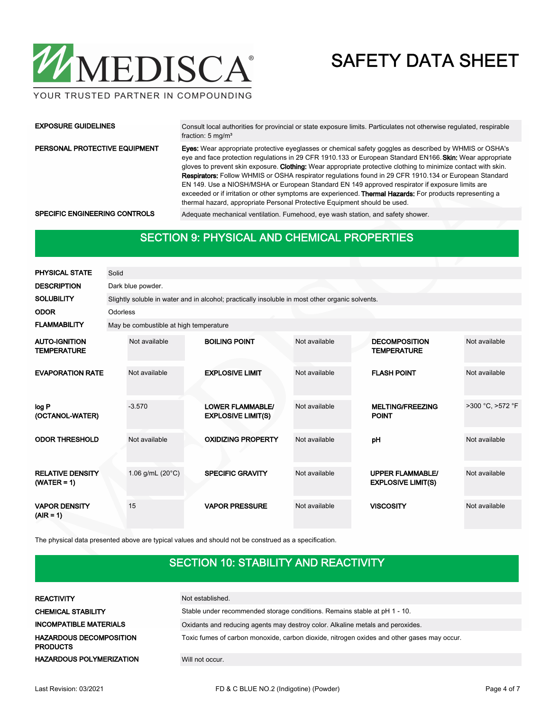

#### YOUR TRUSTED PARTNER IN COMPOUNDING

| <b>EXPOSURE GUIDELINES</b>    | Consult local authorities for provincial or state exposure limits. Particulates not otherwise regulated, respirable<br>fraction: $5 \text{ mg/m}^3$                                                                                                                                                                                                                                                                                                                                                                                                                                                                                                                                                                                                                |
|-------------------------------|--------------------------------------------------------------------------------------------------------------------------------------------------------------------------------------------------------------------------------------------------------------------------------------------------------------------------------------------------------------------------------------------------------------------------------------------------------------------------------------------------------------------------------------------------------------------------------------------------------------------------------------------------------------------------------------------------------------------------------------------------------------------|
| PERSONAL PROTECTIVE EQUIPMENT | <b>Eyes:</b> Wear appropriate protective eyeglasses or chemical safety goggles as described by WHMIS or OSHA's<br>eye and face protection regulations in 29 CFR 1910.133 or European Standard EN166. Skin: Wear appropriate<br>gloves to prevent skin exposure. Clothing: Wear appropriate protective clothing to minimize contact with skin.<br><b>Respirators:</b> Follow WHMIS or OSHA respirator regulations found in 29 CFR 1910.134 or European Standard<br>EN 149. Use a NIOSH/MSHA or European Standard EN 149 approved respirator if exposure limits are<br>exceeded or if irritation or other symptoms are experienced. <b>Thermal Hazards:</b> For products representing a<br>thermal hazard, appropriate Personal Protective Equipment should be used. |
| SPECIFIC ENGINEERING CONTROLS | Adequate mechanical ventilation. Fumehood, eye wash station, and safety shower.                                                                                                                                                                                                                                                                                                                                                                                                                                                                                                                                                                                                                                                                                    |

#### SECTION 9: PHYSICAL AND CHEMICAL PROPERTIES

| <b>PHYSICAL STATE</b>                      | Solid    |                                        |                                                                                                 |               |                                                      |                  |
|--------------------------------------------|----------|----------------------------------------|-------------------------------------------------------------------------------------------------|---------------|------------------------------------------------------|------------------|
| <b>DESCRIPTION</b>                         |          | Dark blue powder.                      |                                                                                                 |               |                                                      |                  |
| <b>SOLUBILITY</b>                          |          |                                        | Slightly soluble in water and in alcohol; practically insoluble in most other organic solvents. |               |                                                      |                  |
| <b>ODOR</b>                                | Odorless |                                        |                                                                                                 |               |                                                      |                  |
| <b>FLAMMABILITY</b>                        |          | May be combustible at high temperature |                                                                                                 |               |                                                      |                  |
| <b>AUTO-IGNITION</b><br><b>TEMPERATURE</b> |          | Not available                          | <b>BOILING POINT</b>                                                                            | Not available | <b>DECOMPOSITION</b><br><b>TEMPERATURE</b>           | Not available    |
| <b>EVAPORATION RATE</b>                    |          | Not available                          | <b>EXPLOSIVE LIMIT</b>                                                                          | Not available | <b>FLASH POINT</b>                                   | Not available    |
| log P<br>(OCTANOL-WATER)                   |          | $-3.570$                               | <b>LOWER FLAMMABLE/</b><br><b>EXPLOSIVE LIMIT(S)</b>                                            | Not available | <b>MELTING/FREEZING</b><br><b>POINT</b>              | >300 °C, >572 °F |
| <b>ODOR THRESHOLD</b>                      |          | Not available                          | <b>OXIDIZING PROPERTY</b>                                                                       | Not available | pH                                                   | Not available    |
| <b>RELATIVE DENSITY</b><br>$(WATER = 1)$   |          | 1.06 g/mL $(20^{\circ}C)$              | <b>SPECIFIC GRAVITY</b>                                                                         | Not available | <b>UPPER FLAMMABLE/</b><br><b>EXPLOSIVE LIMIT(S)</b> | Not available    |
| <b>VAPOR DENSITY</b><br>$(AIR = 1)$        |          | 15                                     | <b>VAPOR PRESSURE</b>                                                                           | Not available | <b>VISCOSITY</b>                                     | Not available    |

The physical data presented above are typical values and should not be construed as a specification.

### SECTION 10: STABILITY AND REACTIVITY

| <b>REACTIVITY</b>                                 | Not established.                                                                           |
|---------------------------------------------------|--------------------------------------------------------------------------------------------|
| <b>CHEMICAL STABILITY</b>                         | Stable under recommended storage conditions. Remains stable at pH 1 - 10.                  |
| <b>INCOMPATIBLE MATERIALS</b>                     | Oxidants and reducing agents may destroy color. Alkaline metals and peroxides.             |
| <b>HAZARDOUS DECOMPOSITION</b><br><b>PRODUCTS</b> | Toxic fumes of carbon monoxide, carbon dioxide, nitrogen oxides and other gases may occur. |
| <b>HAZARDOUS POLYMERIZATION</b>                   | Will not occur.                                                                            |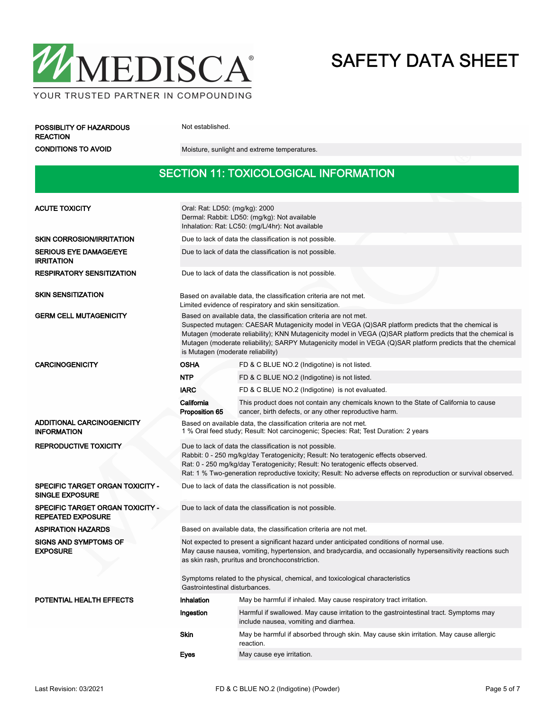

POSSIBLITY OF HAZARDOUS Not established.

REACTION

CONDITIONS TO AVOID Moisture, sunlight and extreme temperatures.

#### SECTION 11: TOXICOLOGICAL INFORMATION

| <b>ACUTE TOXICITY</b>                                        | Oral: Rat: LD50: (mg/kg): 2000<br>Dermal: Rabbit: LD50: (mg/kg): Not available<br>Inhalation: Rat: LC50: (mg/L/4hr): Not available                                                                                                                                                                                                                                                                                                          |                                                                                                                                                 |  |  |  |
|--------------------------------------------------------------|---------------------------------------------------------------------------------------------------------------------------------------------------------------------------------------------------------------------------------------------------------------------------------------------------------------------------------------------------------------------------------------------------------------------------------------------|-------------------------------------------------------------------------------------------------------------------------------------------------|--|--|--|
| <b>SKIN CORROSION/IRRITATION</b>                             | Due to lack of data the classification is not possible.                                                                                                                                                                                                                                                                                                                                                                                     |                                                                                                                                                 |  |  |  |
| <b>SERIOUS EYE DAMAGE/EYE</b><br><b>IRRITATION</b>           | Due to lack of data the classification is not possible.                                                                                                                                                                                                                                                                                                                                                                                     |                                                                                                                                                 |  |  |  |
| <b>RESPIRATORY SENSITIZATION</b>                             | Due to lack of data the classification is not possible.                                                                                                                                                                                                                                                                                                                                                                                     |                                                                                                                                                 |  |  |  |
| <b>SKIN SENSITIZATION</b>                                    | Based on available data, the classification criteria are not met.<br>Limited evidence of respiratory and skin sensitization.                                                                                                                                                                                                                                                                                                                |                                                                                                                                                 |  |  |  |
| <b>GERM CELL MUTAGENICITY</b>                                | Based on available data, the classification criteria are not met.<br>Suspected mutagen: CAESAR Mutagenicity model in VEGA (Q)SAR platform predicts that the chemical is<br>Mutagen (moderate reliability); KNN Mutagenicity model in VEGA (Q)SAR platform predicts that the chemical is<br>Mutagen (moderate reliability); SARPY Mutagenicity model in VEGA (Q)SAR platform predicts that the chemical<br>is Mutagen (moderate reliability) |                                                                                                                                                 |  |  |  |
| <b>CARCINOGENICITY</b>                                       | <b>OSHA</b>                                                                                                                                                                                                                                                                                                                                                                                                                                 | FD & C BLUE NO.2 (Indigotine) is not listed.                                                                                                    |  |  |  |
|                                                              | <b>NTP</b>                                                                                                                                                                                                                                                                                                                                                                                                                                  | FD & C BLUE NO.2 (Indigotine) is not listed.                                                                                                    |  |  |  |
|                                                              | <b>IARC</b>                                                                                                                                                                                                                                                                                                                                                                                                                                 | FD & C BLUE NO.2 (Indigotine) is not evaluated.                                                                                                 |  |  |  |
|                                                              | California<br>Proposition 65                                                                                                                                                                                                                                                                                                                                                                                                                | This product does not contain any chemicals known to the State of California to cause<br>cancer, birth defects, or any other reproductive harm. |  |  |  |
| ADDITIONAL CARCINOGENICITY<br><b>INFORMATION</b>             | Based on available data, the classification criteria are not met.<br>1 % Oral feed study; Result: Not carcinogenic; Species: Rat; Test Duration: 2 years                                                                                                                                                                                                                                                                                    |                                                                                                                                                 |  |  |  |
| <b>REPRODUCTIVE TOXICITY</b>                                 | Due to lack of data the classification is not possible.<br>Rabbit: 0 - 250 mg/kg/day Teratogenicity; Result: No teratogenic effects observed.<br>Rat: 0 - 250 mg/kg/day Teratogenicity; Result: No teratogenic effects observed.<br>Rat: 1 % Two-generation reproductive toxicity; Result: No adverse effects on reproduction or survival observed.                                                                                         |                                                                                                                                                 |  |  |  |
| SPECIFIC TARGET ORGAN TOXICITY -<br><b>SINGLE EXPOSURE</b>   | Due to lack of data the classification is not possible.                                                                                                                                                                                                                                                                                                                                                                                     |                                                                                                                                                 |  |  |  |
| SPECIFIC TARGET ORGAN TOXICITY -<br><b>REPEATED EXPOSURE</b> | Due to lack of data the classification is not possible.                                                                                                                                                                                                                                                                                                                                                                                     |                                                                                                                                                 |  |  |  |
| <b>ASPIRATION HAZARDS</b>                                    | Based on available data, the classification criteria are not met.                                                                                                                                                                                                                                                                                                                                                                           |                                                                                                                                                 |  |  |  |
| <b>SIGNS AND SYMPTOMS OF</b><br><b>EXPOSURE</b>              | Not expected to present a significant hazard under anticipated conditions of normal use.<br>May cause nausea, vomiting, hypertension, and bradycardia, and occasionally hypersensitivity reactions such<br>as skin rash, pruritus and bronchoconstriction.                                                                                                                                                                                  |                                                                                                                                                 |  |  |  |
|                                                              | Symptoms related to the physical, chemical, and toxicological characteristics<br>Gastrointestinal disturbances.                                                                                                                                                                                                                                                                                                                             |                                                                                                                                                 |  |  |  |
| <b>POTENTIAL HEALTH EFFECTS</b>                              | <b>Inhalation</b>                                                                                                                                                                                                                                                                                                                                                                                                                           | May be harmful if inhaled. May cause respiratory tract irritation.                                                                              |  |  |  |
|                                                              | Ingestion                                                                                                                                                                                                                                                                                                                                                                                                                                   | Harmful if swallowed. May cause irritation to the gastrointestinal tract. Symptoms may<br>include nausea, vomiting and diarrhea.                |  |  |  |
|                                                              | <b>Skin</b>                                                                                                                                                                                                                                                                                                                                                                                                                                 | May be harmful if absorbed through skin. May cause skin irritation. May cause allergic<br>reaction.                                             |  |  |  |
|                                                              | Eyes                                                                                                                                                                                                                                                                                                                                                                                                                                        | May cause eye irritation.                                                                                                                       |  |  |  |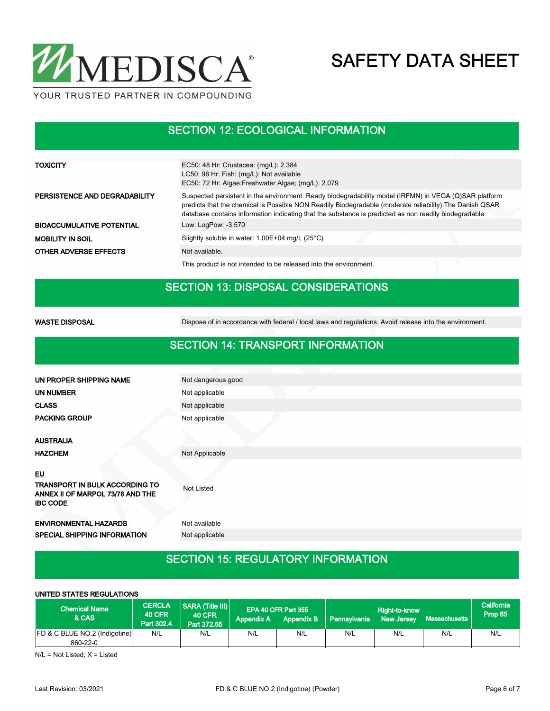

#### SECTION 12: ECOLOGICAL INFORMATION

| <b>TOXICITY</b>                  | EC50: 48 Hr: Crustacea: (mg/L): 2.384<br>LC50: 96 Hr: Fish: (mg/L): Not available<br>EC50: 72 Hr: Algae:Freshwater Algae; (mg/L): 2.079                                                                                                                                                                                     |
|----------------------------------|-----------------------------------------------------------------------------------------------------------------------------------------------------------------------------------------------------------------------------------------------------------------------------------------------------------------------------|
| PERSISTENCE AND DEGRADABILITY    | Suspected persistent in the environment: Ready biodegradability model (IRFMN) in VEGA (Q)SAR platform<br>predicts that the chemical is Possible NON Readily Biodegradable (moderate reliability); The Danish QSAR<br>database contains information indicating that the substance is predicted as non readily biodegradable. |
| <b>BIOACCUMULATIVE POTENTIAL</b> | Low: LogPow: -3.570                                                                                                                                                                                                                                                                                                         |
| <b>MOBILITY IN SOIL</b>          | Slightly soluble in water: $1.00E+04$ mg/L (25 $^{\circ}$ C)                                                                                                                                                                                                                                                                |
| <b>OTHER ADVERSE EFFECTS</b>     | Not available.                                                                                                                                                                                                                                                                                                              |
|                                  | This product is not intended to be released into the environment.                                                                                                                                                                                                                                                           |

### SECTION 13: DISPOSAL CONSIDERATIONS

WASTE DISPOSAL **Dispose of in accordance with federal** / local laws and regulations. Avoid release into the environment.

#### SECTION 14: TRANSPORT INFORMATION

| UN PROPER SHIPPING NAME                                                                            | Not dangerous good |
|----------------------------------------------------------------------------------------------------|--------------------|
| <b>UN NUMBER</b>                                                                                   | Not applicable     |
| <b>CLASS</b>                                                                                       | Not applicable     |
| <b>PACKING GROUP</b>                                                                               | Not applicable     |
|                                                                                                    |                    |
| <b>AUSTRALIA</b>                                                                                   |                    |
| <b>HAZCHEM</b>                                                                                     | Not Applicable     |
| <u>EU</u><br>TRANSPORT IN BULK ACCORDING TO<br>ANNEX II OF MARPOL 73/78 AND THE<br><b>IBC CODE</b> | <b>Not Listed</b>  |
| <b>ENVIRONMENTAL HAZARDS</b>                                                                       | Not available      |
| SPECIAL SHIPPING INFORMATION                                                                       | Not applicable     |
|                                                                                                    |                    |

#### SECTION 15: REGULATORY INFORMATION

| UNITED STATES REGULATIONS                            |                                              |                                                         |                   |                                          |              |                             |               |                       |
|------------------------------------------------------|----------------------------------------------|---------------------------------------------------------|-------------------|------------------------------------------|--------------|-----------------------------|---------------|-----------------------|
| <b>Chemical Name</b><br>& CAS                        | <b>CERCLA</b><br><b>40 CFR</b><br>Part 302.4 | <b>SARA (Title III)</b><br><b>40 CFR</b><br>Part 372.65 | <b>Appendix A</b> | EPA 40 CFR Part 355<br><b>Appendix B</b> | Pennsylvania | Right-to-know<br>New Jersey | Massachusetts | California<br>Prop 65 |
| <b>FD &amp; C BLUE NO.2 (Indigotine)</b><br>860-22-0 | N/L                                          | N/L                                                     | N/L               | N/L                                      | N/L          | N/L                         | N/L           | N/L                   |

 $N/L = Not$  Listed:  $X =$  Listed